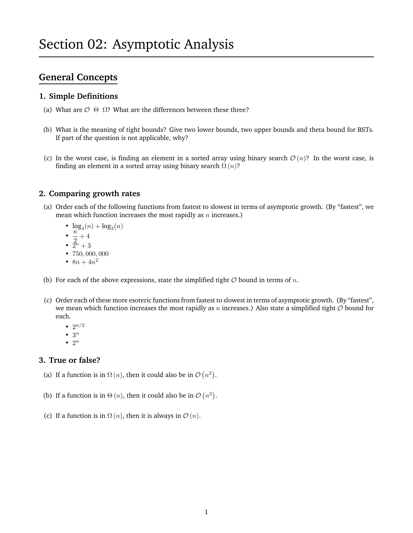# **General Concepts**

### **1. Simple Definitions**

- (a) What are  $\mathcal{O} \Theta \Omega$ ? What are the differences between these three?
- (b) What is the meaning of tight bounds? Give two lower bounds, two upper bounds and theta bound for BSTs. If part of the question is not applicable, why?
- (c) In the worst case, is finding an element in a sorted array using binary search  $\mathcal{O}(n)$ ? In the worst case, is finding an element in a sorted array using binary search  $\Omega(n)$ ?

#### **2. Comparing growth rates**

- (a) Order each of the following functions from fastest to slowest in terms of asymptotic growth. (By "fastest", we mean which function increases the most rapidly as  $n$  increases.)
	- $\log_4(n) + \log_2(n)$
	- $\cdot \frac{n}{2}$
	- $\frac{1}{2} + 4$ •  $\tilde{2}^n + 3$
	- 750, 000, 000
	- $8n + 4n^2$
- (b) For each of the above expressions, state the simplified tight  $O$  bound in terms of n.
- (c) Order each of these more esoteric functions from fastest to slowest in terms of asymptotic growth. (By "fastest", we mean which function increases the most rapidly as n increases.) Also state a simplified tight  $\mathcal O$  bound for each.
	- $2^{n/2}$
	- $\bullet$  3<sup>n</sup>
	- $\bullet$  2<sup>n</sup>

### **3. True or false?**

- (a) If a function is in  $\Omega(n)$ , then it could also be in  $\mathcal{O}(n^2)$ .
- (b) If a function is in  $\Theta(n)$ , then it could also be in  $\mathcal{O}(n^2)$ .
- (c) If a function is in  $\Omega(n)$ , then it is always in  $\mathcal{O}(n)$ .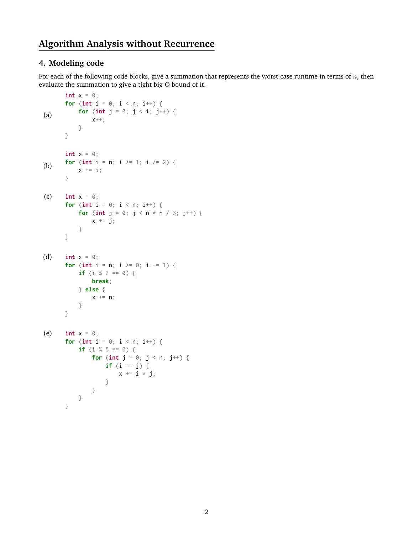## **Algorithm Analysis without Recurrence**

### **4. Modeling code**

For each of the following code blocks, give a summation that represents the worst-case runtime in terms of  $n$ , then evaluate the summation to give a tight big-O bound of it.

```
(a)
       int x = 0;
       for (int i = 0; i < n; i++) {
            for (int j = 0; j < i; j^{++}) {
                x++;
            }
       }
(b)
       int x = 0;
       for (int i = n; i > = 1; i / = 2) {
            x \leftarrow i;
       }
(c) int x = 0;
       for (int i = 0; i < n; i^{++}) {
            for (int j = 0; j < n * n / 3; j^{++}) {
                x \leftarrow \exists j;}
       }
(d) int x = 0;
       for (int i = n; i \ge 0; i == 1) {
            if (i % 3 == 0) {
                break;
            } else {
                x \leftarrow +\in \mathsf{n};
            }
       }
(e) int x = 0;
       for (int i = 0; i < n; i^{++}) {
            if (i % 5 == 0) {
                for (int j = 0; j < n; j^{++}) {
                     if (i == j) {
                         x += i * j;
                     }
                }
           }
       }
```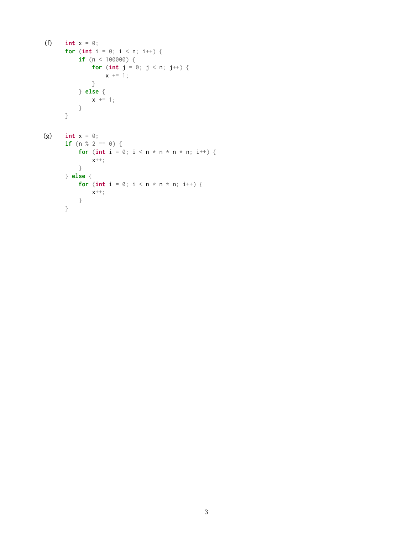```
(f) int x = 0;
      for (int i = 0; i < n; i++) {
          if (n < 100000) {
             for (int j = 0; j < n; j^{++}) {
                x \neq 1;
             }
          } else {
            x \neq 1;
         }
      }
(g) int x = 0;
      if (n % 2 == 0) {
         for (int i = 0; i < n * n * n * n; i++) {
          x^{++};
         }
      } else {
         for (int i = 0; i < n * n * n; i++) {
          x++;}
      }
```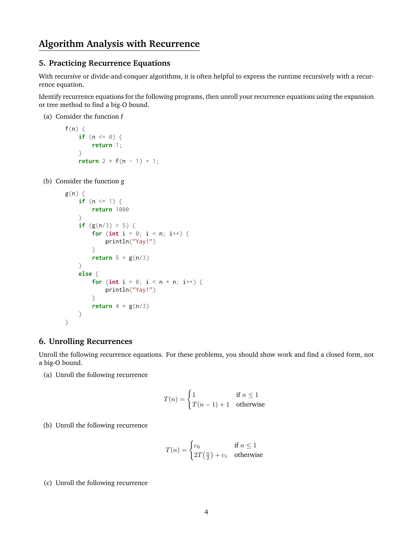## **Algorithm Analysis with Recurrence**

#### **5. Practicing Recurrence Equations**

With recursive or divide-and-conquer algorithms, it is often helpful to express the runtime recursively with a recurrence equation.

Identify recurrence equations for the following programs, then unroll your recurrence equations using the expansion or tree method to find a big-O bound.

(a) Consider the function f

```
f(n) {
    if (n <= 0) {
        return 1;
    }
    return 2 * f(n - 1) + 1;
```
(b) Consider the function g

```
g(n) {
    if (n \leq 1) {
        return 1000
    }
    if (g(n/3) > 5) {
        for (int i = 0; i < n; i^{++}) {
            println("Yay!")
        }
        return 5 * g(n/3)}
    else {
        for (int i = 0; i < n * n; i^{++}) {
            println("Yay!")
        }
        return 4 * g(n/3)}
}
```
#### **6. Unrolling Recurrences**

Unroll the following recurrence equations. For these problems, you should show work and find a closed form, not a big-O bound.

(a) Unroll the following recurrence

$$
T(n) = \begin{cases} 1 & \text{if } n \le 1 \\ T(n-1) + 1 & \text{otherwise} \end{cases}
$$

(b) Unroll the following recurrence

$$
T(n) = \begin{cases} c_0 & \text{if } n \le 1\\ 2T\left(\frac{n}{2}\right) + c_1 & \text{otherwise} \end{cases}
$$

(c) Unroll the following recurrence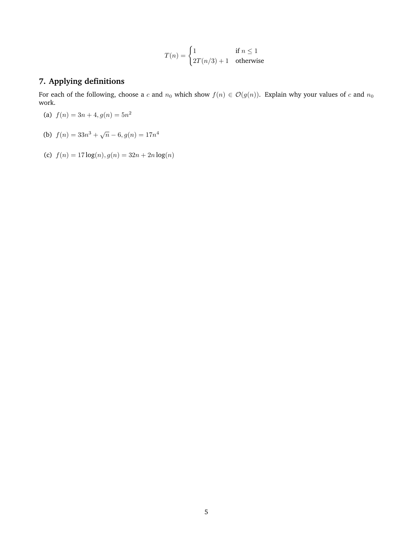$$
T(n) = \begin{cases} 1 & \text{if } n \le 1\\ 2T(n/3) + 1 & \text{otherwise} \end{cases}
$$

### **7. Applying definitions**

For each of the following, choose a c and  $n_0$  which show  $f(n) \in \mathcal{O}(g(n))$ . Explain why your values of c and  $n_0$ work.

- (a)  $f(n) = 3n + 4, g(n) = 5n^2$
- (b)  $f(n) = 33n^3 + \sqrt{n} 6, g(n) = 17n^4$
- (c)  $f(n) = 17 \log(n), g(n) = 32n + 2n \log(n)$